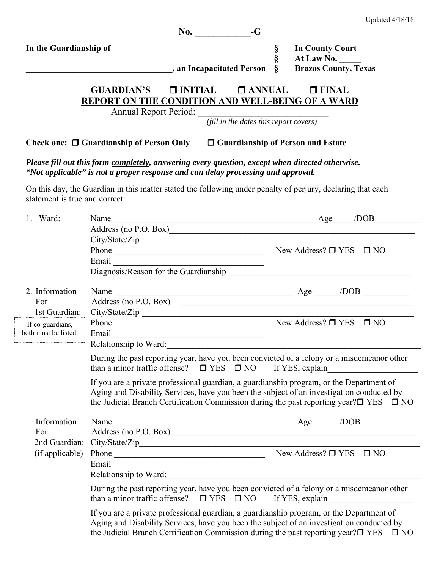|                                                                                    |                                                                                                                                                                                                                                                                                                                                                                                                         | $\mathbf{No.}$ $-\mathbf{G}$                                                                                          |                |                                                                     |                                                                                                                                                                                                                                                                                                                                                                                                                               |
|------------------------------------------------------------------------------------|---------------------------------------------------------------------------------------------------------------------------------------------------------------------------------------------------------------------------------------------------------------------------------------------------------------------------------------------------------------------------------------------------------|-----------------------------------------------------------------------------------------------------------------------|----------------|---------------------------------------------------------------------|-------------------------------------------------------------------------------------------------------------------------------------------------------------------------------------------------------------------------------------------------------------------------------------------------------------------------------------------------------------------------------------------------------------------------------|
| In the Guardianship of                                                             |                                                                                                                                                                                                                                                                                                                                                                                                         | , an Incapacitated Person                                                                                             | §<br>§<br>$\S$ | <b>In County Court</b><br>At Law No.<br><b>Brazos County, Texas</b> |                                                                                                                                                                                                                                                                                                                                                                                                                               |
|                                                                                    | GUARDIAN'S <b>D</b> INITIAL <b>D</b> ANNUAL<br>REPORT ON THE CONDITION AND WELL-BEING OF A WARD                                                                                                                                                                                                                                                                                                         |                                                                                                                       |                | $\Box$ FINAL                                                        |                                                                                                                                                                                                                                                                                                                                                                                                                               |
|                                                                                    | Annual Report Period: (fill in the dates this report covers)                                                                                                                                                                                                                                                                                                                                            |                                                                                                                       |                |                                                                     |                                                                                                                                                                                                                                                                                                                                                                                                                               |
|                                                                                    | Check one: $\Box$ Guardianship of Person Only $\Box$ Guardianship of Person and Estate                                                                                                                                                                                                                                                                                                                  |                                                                                                                       |                |                                                                     |                                                                                                                                                                                                                                                                                                                                                                                                                               |
|                                                                                    | Please fill out this form completely, answering every question, except when directed otherwise.<br>"Not applicable" is not a proper response and can delay processing and approval.                                                                                                                                                                                                                     |                                                                                                                       |                |                                                                     |                                                                                                                                                                                                                                                                                                                                                                                                                               |
| statement is true and correct:                                                     | On this day, the Guardian in this matter stated the following under penalty of perjury, declaring that each                                                                                                                                                                                                                                                                                             |                                                                                                                       |                |                                                                     |                                                                                                                                                                                                                                                                                                                                                                                                                               |
| 1. Ward:                                                                           | Name<br>Address (no P.O. Box)<br>City/State/Zip                                                                                                                                                                                                                                                                                                                                                         |                                                                                                                       |                |                                                                     | $\angle Age$ $\angle DOB$ $\angle DOB$ $\angle DOB$ $\angle DOB$ $\angle DOB$ $\angle DOB$ $\angle DOB$ $\angle DOB$ $\angle DOB$ $\angle DOB$ $\angle DOB$ $\angle DOB$ $\angle DOB$ $\angle DOB$ $\angle DOB$ $\angle DOB$ $\angle DOB$ $\angle DOB$ $\angle DOB$ $\angle DOB$ $\angle DOB$ $\angle DOB$ $\angle DOB$ $\angle DOB$ $\angle DOB$ $\angle DOB$ $\angle DOB$ $\angle DOB$ $\angle DOB$ $\angle DOB$ $\angle D$ |
|                                                                                    | Phone $\_\_\_\_\_\_\$ New Address? $\_\_\_\$ YES $\_\_\_\$ NO<br>Email and the contract of the contract of the contract of the contract of the contract of the contract of the contract of the contract of the contract of the contract of the contract of the contract of the contract of the                                                                                                          |                                                                                                                       |                |                                                                     |                                                                                                                                                                                                                                                                                                                                                                                                                               |
| 2. Information<br>For<br>1st Guardian:<br>If co-guardians,<br>both must be listed. | Name Address (no P.O. Box) Address (no P.O. Box)<br>City/State/Zip<br>Phone $\overline{\phantom{a}}$ New Address? $\Box$ YES $\Box$ NO<br>Email <u>and the community of the community of the community of the community of the community of the community of the community of the community of the community of the community of the community of the community of the com</u><br>Relationship to Ward: | <u> 1989 - Johann John Stein, mars an deutscher Stein und der Stein und der Stein und der Stein und der Stein und</u> |                |                                                                     |                                                                                                                                                                                                                                                                                                                                                                                                                               |
|                                                                                    | During the past reporting year, have you been convicted of a felony or a misdemeanor other<br>than a minor traffic offense? $\Box$ YES $\Box$ NO If YES, explain<br>If you are a private professional guardian, a guardianship program, or the Department of                                                                                                                                            |                                                                                                                       |                |                                                                     |                                                                                                                                                                                                                                                                                                                                                                                                                               |
|                                                                                    | Aging and Disability Services, have you been the subject of an investigation conducted by<br>the Judicial Branch Certification Commission during the past reporting year? $\square$ YES $\square$ NO                                                                                                                                                                                                    |                                                                                                                       |                |                                                                     |                                                                                                                                                                                                                                                                                                                                                                                                                               |
| Information<br>For<br>2nd Guardian:                                                | Name $\frac{1}{\text{Address (no P.O. Box)}}$ Age $\frac{1}{\text{Does (no P.O. Box)}}$<br>City/State/Zip                                                                                                                                                                                                                                                                                               |                                                                                                                       |                |                                                                     |                                                                                                                                                                                                                                                                                                                                                                                                                               |
| (if applicable)                                                                    | Phone $\overline{\phantom{a}}$ New Address? $\Box$ YES $\overline{\phantom{a}}$ NO<br>Relationship to Ward:                                                                                                                                                                                                                                                                                             |                                                                                                                       |                |                                                                     |                                                                                                                                                                                                                                                                                                                                                                                                                               |
|                                                                                    | During the past reporting year, have you been convicted of a felony or a misdemeanor other<br>than a minor traffic offense? $\Box$ YES $\Box$ NO If YES, explain                                                                                                                                                                                                                                        |                                                                                                                       |                |                                                                     |                                                                                                                                                                                                                                                                                                                                                                                                                               |
|                                                                                    | If you are a private professional guardian, a guardianship program, or the Department of<br>Aging and Disability Services, have you been the subject of an investigation conducted by<br>the Judicial Branch Certification Commission during the past reporting year? $\square$ YES $\square$ NO                                                                                                        |                                                                                                                       |                |                                                                     |                                                                                                                                                                                                                                                                                                                                                                                                                               |

Updated 4/18/18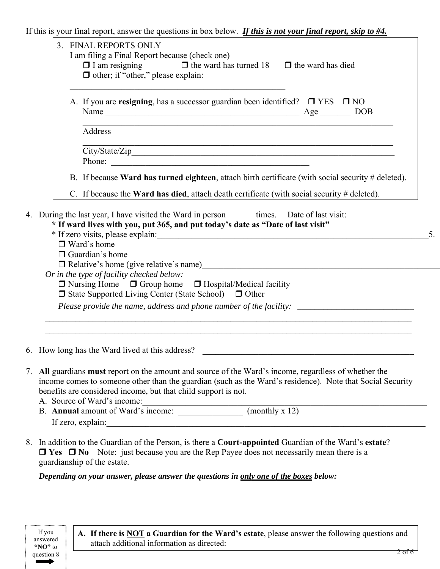If this is your final report, answer the questions in box below. *If this is not your final report, skip to #4.*

| $\Box$ I am resigning $\Box$ the ward has turned 18 $\Box$ the ward has died<br>$\Box$ other; if "other," please explain:                                                                                                                                                                                           |  |
|---------------------------------------------------------------------------------------------------------------------------------------------------------------------------------------------------------------------------------------------------------------------------------------------------------------------|--|
| A. If you are resigning, has a successor guardian been identified? $\square$ YES $\square$ NO                                                                                                                                                                                                                       |  |
| Address                                                                                                                                                                                                                                                                                                             |  |
| <u> 1989 - Jan James James James James James James James James James James James James James James James James J</u><br>Phone:                                                                                                                                                                                      |  |
| B. If because Ward has turned eighteen, attach birth certificate (with social security # deleted).                                                                                                                                                                                                                  |  |
| C. If because the Ward has died, attach death certificate (with social security # deleted).                                                                                                                                                                                                                         |  |
| * If ward lives with you, put 365, and put today's date as "Date of last visit"<br>$\Box$ Ward's home<br>$\Box$ Guardian's home<br>□ Relative's home (give relative's name)                                                                                                                                         |  |
| Or in the type of facility checked below:<br>$\Box$ Nursing Home $\Box$ Group home $\Box$ Hospital/Medical facility<br>$\Box$ State Supported Living Center (State School) $\Box$ Other                                                                                                                             |  |
| Please provide the name, address and phone number of the facility: _________________________________                                                                                                                                                                                                                |  |
| 6. How long has the Ward lived at this address?                                                                                                                                                                                                                                                                     |  |
| 7. All guardians must report on the amount and source of the Ward's income, regardless of whether the<br>income comes to someone other than the guardian (such as the Ward's residence). Note that Social Security<br>benefits are considered income, but that child support is not.<br>A. Source of Ward's income: |  |

- If zero, explain:
- 8. In addition to the Guardian of the Person, is there a **Court-appointed** Guardian of the Ward's **estate**? **□ Yes □ No** Note: just because you are the Rep Payee does not necessarily mean there is a guardianship of the estate.

 *Depending on your answer, please answer the questions in only one of the boxes below:* 

If you answered **"NO"** to question 8  $\rightarrow$ 

**A. If there is NOT a Guardian for the Ward's estate**, please answer the following questions and attach additional information as directed: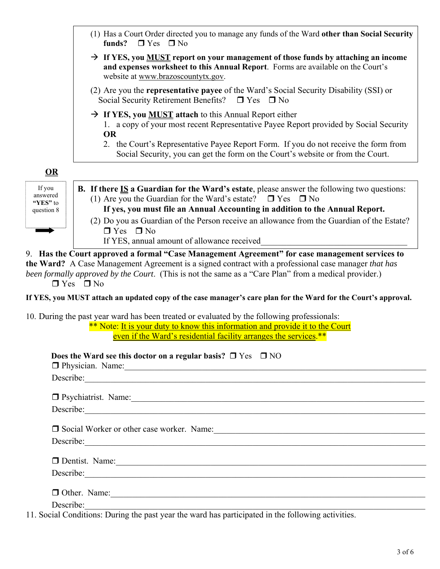|                                | (1) Has a Court Order directed you to manage any funds of the Ward other than Social Security<br>funds?<br>$\Box$ Yes $\Box$ No                                                                                                                                         |  |  |  |  |
|--------------------------------|-------------------------------------------------------------------------------------------------------------------------------------------------------------------------------------------------------------------------------------------------------------------------|--|--|--|--|
|                                | $\rightarrow$ If YES, you MUST report on your management of those funds by attaching an income<br>and expenses worksheet to this Annual Report. Forms are available on the Court's<br>website at www.brazoscountytx.gov.                                                |  |  |  |  |
|                                | (2) Are you the <b>representative payee</b> of the Ward's Social Security Disability (SSI) or<br>Social Security Retirement Benefits?<br>$\Box$ Yes $\Box$ No                                                                                                           |  |  |  |  |
|                                | $\rightarrow$ If YES, you <b>MUST</b> attach to this Annual Report either<br>1. a copy of your most recent Representative Payee Report provided by Social Security<br><b>OR</b><br>2. the Court's Representative Payee Report Form. If you do not receive the form from |  |  |  |  |
|                                | Social Security, you can get the form on the Court's website or from the Court.                                                                                                                                                                                         |  |  |  |  |
| OR                             |                                                                                                                                                                                                                                                                         |  |  |  |  |
| If you<br>answered<br>"YES" to | <b>B.</b> If there $IS$ a Guardian for the Ward's estate, please answer the following two questions:<br>(1) Are you the Guardian for the Ward's estate? $\Box$ Yes $\Box$ No                                                                                            |  |  |  |  |
| question 8                     | If yes, you must file an Annual Accounting in addition to the Annual Report.                                                                                                                                                                                            |  |  |  |  |
|                                | (2) Do you as Guardian of the Person receive an allowance from the Guardian of the Estate?<br>$\Box$ Yes $\Box$ No                                                                                                                                                      |  |  |  |  |
|                                | If YES, annual amount of allowance received                                                                                                                                                                                                                             |  |  |  |  |
|                                | been formally approved by the Court. (This is not the same as a "Care Plan" from a medical provider.)<br>$\Box$ Yes $\Box$ No<br>If YES, you MUST attach an updated copy of the case manager's care plan for the Ward for the Court's approval.                         |  |  |  |  |
|                                | 10. During the past year ward has been treated or evaluated by the following professionals:<br>** Note: It is your duty to know this information and provide it to the Court<br>even if the Ward's residential facility arranges the services.**                        |  |  |  |  |
|                                | Does the Ward see this doctor on a regular basis? $\Box$ Yes $\Box$ NO                                                                                                                                                                                                  |  |  |  |  |
|                                | □ Physician. Name: 1000 million and 1000 million and 1000 million and 1000 million and 1000 million and 1000 million and 1000 million and 1000 million and 1000 million and 1000 million and 1000 million and 1000 million an                                           |  |  |  |  |
|                                |                                                                                                                                                                                                                                                                         |  |  |  |  |
|                                | □ Psychiatrist. Name: <u>Name:</u> Name: Name: Name: Name: Name: Name: Name: Name: Name: Name: Name: Name: Name: Name: Name: Name: Name: Name: Name: Name: Name: Name: Name: Name: Name: Name: Name: Name: Name: Name: Name: Name:                                      |  |  |  |  |
|                                | Describe:                                                                                                                                                                                                                                                               |  |  |  |  |
|                                |                                                                                                                                                                                                                                                                         |  |  |  |  |
|                                |                                                                                                                                                                                                                                                                         |  |  |  |  |
|                                |                                                                                                                                                                                                                                                                         |  |  |  |  |
|                                | Describe: New York: New York: New York: New York: New York: New York: New York: New York: New York: New York: New York: New York: New York: New York: New York: New York: New York: New York: New York: New York: New York: Ne                                          |  |  |  |  |
|                                | $\Box$ Other. Name:                                                                                                                                                                                                                                                     |  |  |  |  |
|                                |                                                                                                                                                                                                                                                                         |  |  |  |  |
|                                | Describe:<br>11. Social Conditions: During the past year the ward has participated in the following activities.                                                                                                                                                         |  |  |  |  |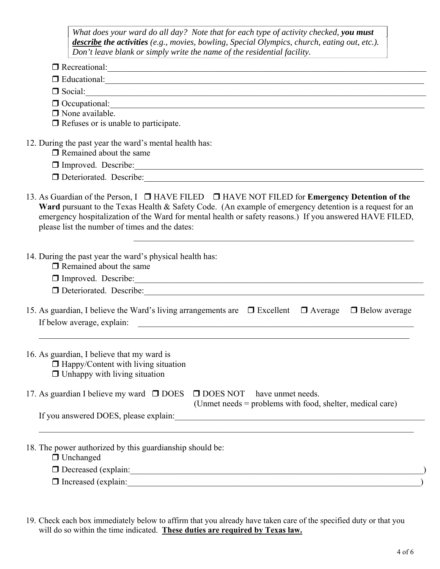| What does your ward do all day? Note that for each type of activity checked, you must               |
|-----------------------------------------------------------------------------------------------------|
| <b>describe the activities</b> (e.g., movies, bowling, Special Olympics, church, eating out, etc.). |
| Don't leave blank or simply write the name of the residential facility.                             |
|                                                                                                     |

|                                                                                                                                  | Recreational:                                                                                                                                                                                                                                                                                                                 |
|----------------------------------------------------------------------------------------------------------------------------------|-------------------------------------------------------------------------------------------------------------------------------------------------------------------------------------------------------------------------------------------------------------------------------------------------------------------------------|
|                                                                                                                                  |                                                                                                                                                                                                                                                                                                                               |
|                                                                                                                                  | $\Box$ Social: $\Box$                                                                                                                                                                                                                                                                                                         |
|                                                                                                                                  | $\Box$ Occupational:                                                                                                                                                                                                                                                                                                          |
| $\Box$ None available.                                                                                                           |                                                                                                                                                                                                                                                                                                                               |
| $\Box$ Refuses or is unable to participate.                                                                                      |                                                                                                                                                                                                                                                                                                                               |
| 12. During the past year the ward's mental health has:<br>$\Box$ Remained about the same                                         |                                                                                                                                                                                                                                                                                                                               |
|                                                                                                                                  |                                                                                                                                                                                                                                                                                                                               |
|                                                                                                                                  |                                                                                                                                                                                                                                                                                                                               |
| please list the number of times and the dates:                                                                                   | 13. As Guardian of the Person, I $\Box$ HAVE FILED $\Box$ HAVE NOT FILED for Emergency Detention of the<br>Ward pursuant to the Texas Health & Safety Code. (An example of emergency detention is a request for an<br>emergency hospitalization of the Ward for mental health or safety reasons.) If you answered HAVE FILED, |
| 14. During the past year the ward's physical health has:<br>$\Box$ Remained about the same                                       |                                                                                                                                                                                                                                                                                                                               |
|                                                                                                                                  |                                                                                                                                                                                                                                                                                                                               |
|                                                                                                                                  |                                                                                                                                                                                                                                                                                                                               |
|                                                                                                                                  |                                                                                                                                                                                                                                                                                                                               |
|                                                                                                                                  | 15. As guardian, I believe the Ward's living arrangements are $\Box$ Excellent $\Box$ Average $\Box$ Below average                                                                                                                                                                                                            |
| 16. As guardian, I believe that my ward is<br>$\Box$ Happy/Content with living situation<br>$\Box$ Unhappy with living situation |                                                                                                                                                                                                                                                                                                                               |
| 17. As guardian I believe my ward $\Box$ DOES                                                                                    | $\Box$ DOES NOT<br>have unmet needs.<br>(Unmet needs = problems with food, shelter, medical care)                                                                                                                                                                                                                             |

18. The power authorized by this guardianship should be:

 $\Box$  Unchanged

Decreased (explain:\_\_\_\_\_\_\_\_\_\_\_\_\_\_\_\_\_\_\_\_\_\_\_\_\_\_\_\_\_\_\_\_\_\_\_\_\_\_\_\_\_\_\_\_\_\_\_\_\_\_\_\_\_\_\_\_\_\_\_\_\_\_\_\_\_\_\_\_)

 $\Box$  Increased (explain:

19. Check each box immediately below to affirm that you already have taken care of the specified duty or that you will do so within the time indicated. **These duties are required by Texas law.**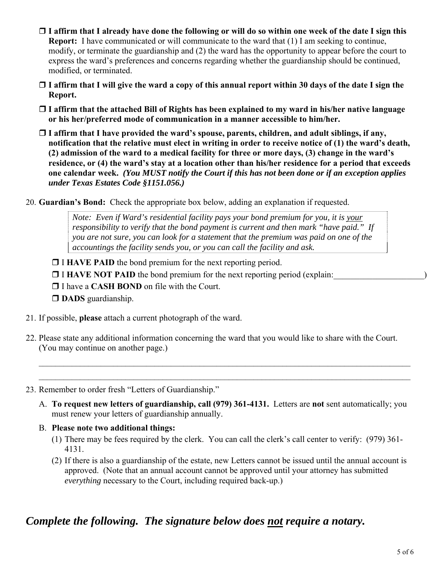- **I affirm that I already have done the following or will do so within one week of the date I sign this Report:** I have communicated or will communicate to the ward that (1) I am seeking to continue, modify, or terminate the guardianship and (2) the ward has the opportunity to appear before the court to express the ward's preferences and concerns regarding whether the guardianship should be continued, modified, or terminated.
- **I affirm that I will give the ward a copy of this annual report within 30 days of the date I sign the Report.**
- **I affirm that the attached Bill of Rights has been explained to my ward in his/her native language or his her/preferred mode of communication in a manner accessible to him/her.**
- **I affirm that I have provided the ward's spouse, parents, children, and adult siblings, if any, notification that the relative must elect in writing in order to receive notice of (1) the ward's death, (2) admission of the ward to a medical facility for three or more days, (3) change in the ward's residence, or (4) the ward's stay at a location other than his/her residence for a period that exceeds one calendar week.** *(You MUST notify the Court if this has not been done or if an exception applies under Texas Estates Code §1151.056.)*
- 20. **Guardian's Bond:** Check the appropriate box below, adding an explanation if requested.

*Note: Even if Ward's residential facility pays your bond premium for you, it is your responsibility to verify that the bond payment is current and then mark "have paid." If you are not sure, you can look for a statement that the premium was paid on one of the accountings the facility sends you, or you can call the facility and ask.* 

- **I HAVE PAID** the bond premium for the next reporting period.
- **I HAVE NOT PAID** the bond premium for the next reporting period (explain:
- □ I have a **CASH BOND** on file with the Court.
- **DADS** guardianship.
- 21. If possible, **please** attach a current photograph of the ward.
- 22. Please state any additional information concerning the ward that you would like to share with the Court. (You may continue on another page.)

 $\mathcal{L}_\text{max}$  , and the contribution of the contribution of the contribution of the contribution of the contribution of the contribution of the contribution of the contribution of the contribution of the contribution of t  $\mathcal{L}_\text{max}$  , and the contribution of the contribution of the contribution of the contribution of the contribution of the contribution of the contribution of the contribution of the contribution of the contribution of t

- 23. Remember to order fresh "Letters of Guardianship."
	- A. **To request new letters of guardianship, call (979) 361-4131.** Letters are **not** sent automatically; you must renew your letters of guardianship annually.
	- B. **Please note two additional things:**
		- (1) There may be fees required by the clerk. You can call the clerk's call center to verify: (979) 361- 4131.
		- (2) If there is also a guardianship of the estate, new Letters cannot be issued until the annual account is approved. (Note that an annual account cannot be approved until your attorney has submitted *everything* necessary to the Court, including required back-up.)

## *Complete the following. The signature below does not require a notary.*